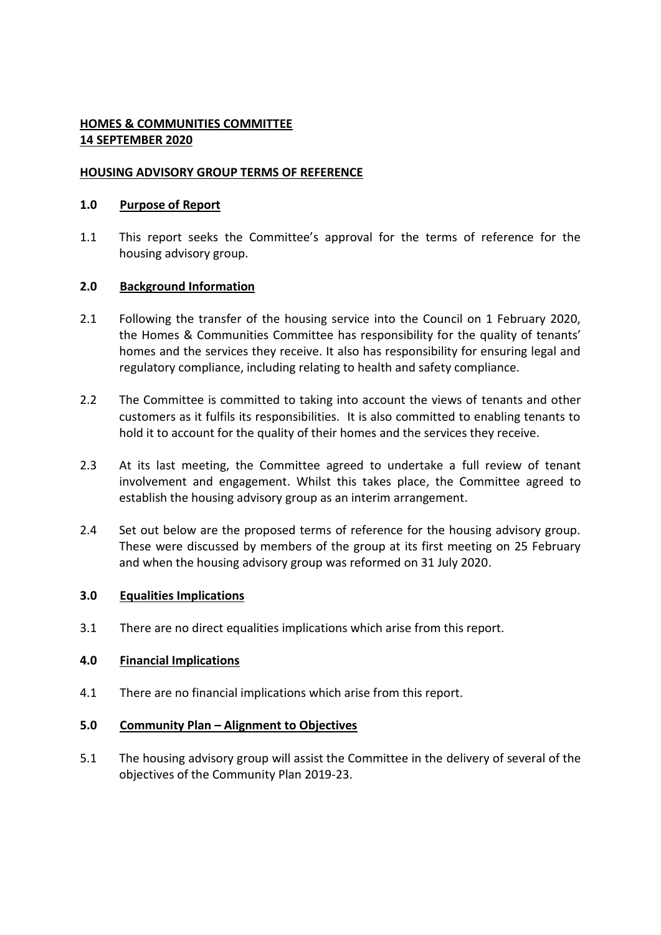# **HOMES & COMMUNITIES COMMITTEE 14 SEPTEMBER 2020**

# **HOUSING ADVISORY GROUP TERMS OF REFERENCE**

### **1.0 Purpose of Report**

1.1 This report seeks the Committee's approval for the terms of reference for the housing advisory group.

# **2.0 Background Information**

- 2.1 Following the transfer of the housing service into the Council on 1 February 2020, the Homes & Communities Committee has responsibility for the quality of tenants' homes and the services they receive. It also has responsibility for ensuring legal and regulatory compliance, including relating to health and safety compliance.
- 2.2 The Committee is committed to taking into account the views of tenants and other customers as it fulfils its responsibilities. It is also committed to enabling tenants to hold it to account for the quality of their homes and the services they receive.
- 2.3 At its last meeting, the Committee agreed to undertake a full review of tenant involvement and engagement. Whilst this takes place, the Committee agreed to establish the housing advisory group as an interim arrangement.
- 2.4 Set out below are the proposed terms of reference for the housing advisory group. These were discussed by members of the group at its first meeting on 25 February and when the housing advisory group was reformed on 31 July 2020.

### **3.0 Equalities Implications**

3.1 There are no direct equalities implications which arise from this report.

### **4.0 Financial Implications**

4.1 There are no financial implications which arise from this report.

### **5.0 Community Plan – Alignment to Objectives**

5.1 The housing advisory group will assist the Committee in the delivery of several of the objectives of the Community Plan 2019-23.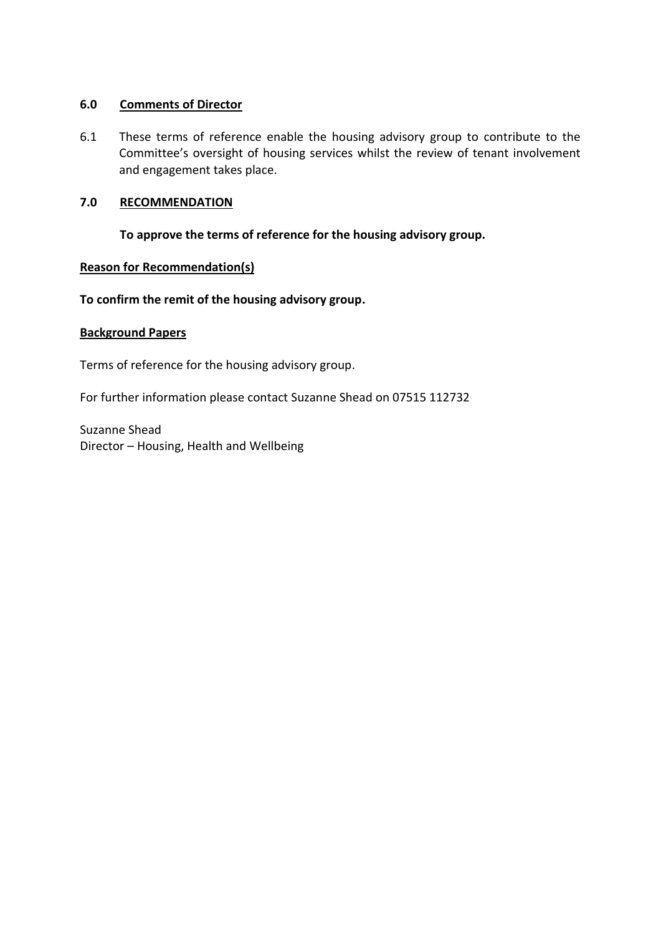### **6.0 Comments of Director**

6.1 These terms of reference enable the housing advisory group to contribute to the Committee's oversight of housing services whilst the review of tenant involvement and engagement takes place.

### **7.0 RECOMMENDATION**

# **To approve the terms of reference for the housing advisory group.**

### **Reason for Recommendation(s)**

### **To confirm the remit of the housing advisory group.**

### **Background Papers**

Terms of reference for the housing advisory group.

For further information please contact Suzanne Shead on 07515 112732

Suzanne Shead Director – Housing, Health and Wellbeing